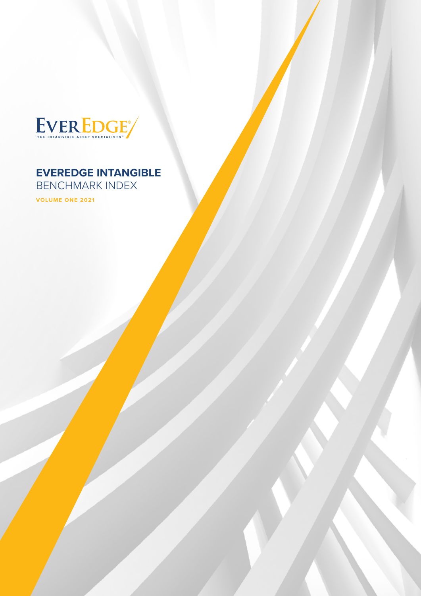

## **EVEREDGE INTANGIBLE**

BENCHMARK INDEX

**VOLUME ONE 2021**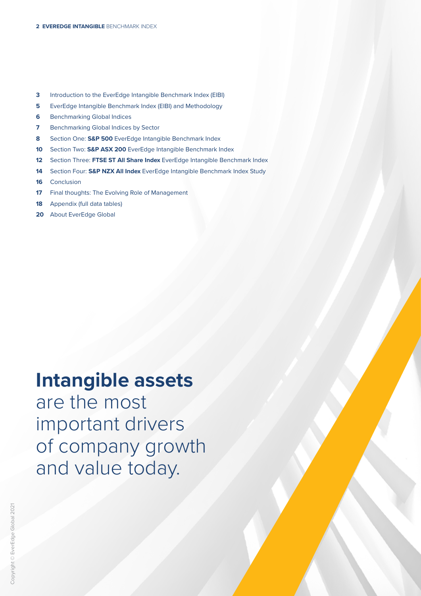- **3** Introduction to the EverEdge Intangible Benchmark Index (EIBI)
- **5** EverEdge Intangible Benchmark Index (EIBI) and Methodology
- **6** Benchmarking Global Indices
- **7** Benchmarking Global Indices by Sector
- **8** Section One: **S&P 500** EverEdge Intangible Benchmark Index
- **10** Section Two: **S&P ASX 200** EverEdge Intangible Benchmark Index
- **12** Section Three: **FTSE ST All Share Index** EverEdge Intangible Benchmark Index
- **14** Section Four: **S&P NZX All Index** EverEdge Intangible Benchmark Index Study
- **16** Conclusion
- **17** Final thoughts: The Evolving Role of Management
- **18** Appendix (full data tables)
- **20** About EverEdge Global

## **Intangible assets**

are the most important drivers of company growth and value today.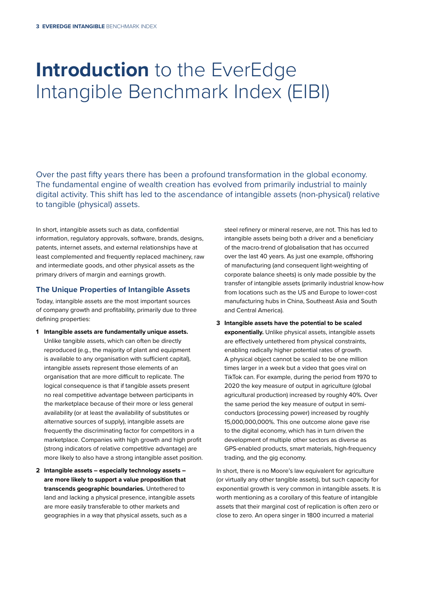## **Introduction** to the EverEdge Intangible Benchmark Index (EIBI)

Over the past fifty years there has been a profound transformation in the global economy. The fundamental engine of wealth creation has evolved from primarily industrial to mainly digital activity. This shift has led to the ascendance of intangible assets (non-physical) relative to tangible (physical) assets.

In short, intangible assets such as data, confidential information, regulatory approvals, software, brands, designs, patents, internet assets, and external relationships have at least complemented and frequently replaced machinery, raw and intermediate goods, and other physical assets as the primary drivers of margin and earnings growth.

#### **The Unique Properties of Intangible Assets**

Today, intangible assets are the most important sources of company growth and profitability, primarily due to three defining properties:

- **1 Intangible assets are fundamentally unique assets.** Unlike tangible assets, which can often be directly reproduced (e.g., the majority of plant and equipment is available to any organisation with sufficient capital), intangible assets represent those elements of an organisation that are more difficult to replicate. The logical consequence is that if tangible assets present no real competitive advantage between participants in the marketplace because of their more or less general availability (or at least the availability of substitutes or alternative sources of supply), intangible assets are frequently the discriminating factor for competitors in a marketplace. Companies with high growth and high profit (strong indicators of relative competitive advantage) are more likely to also have a strong intangible asset position.
- **2 Intangible assets especially technology assets are more likely to support a value proposition that transcends geographic boundaries.** Untethered to land and lacking a physical presence, intangible assets are more easily transferable to other markets and geographies in a way that physical assets, such as a

steel refinery or mineral reserve, are not. This has led to intangible assets being both a driver and a beneficiary of the macro-trend of globalisation that has occurred over the last 40 years. As just one example, offshoring of manufacturing (and consequent light-weighting of corporate balance sheets) is only made possible by the transfer of intangible assets (primarily industrial know-how from locations such as the US and Europe to lower-cost manufacturing hubs in China, Southeast Asia and South and Central America).

**3 Intangible assets have the potential to be scaled exponentially.** Unlike physical assets, intangible assets are effectively untethered from physical constraints, enabling radically higher potential rates of growth. A physical object cannot be scaled to be one million times larger in a week but a video that goes viral on TikTok can. For example, during the period from 1970 to 2020 the key measure of output in agriculture (global agricultural production) increased by roughly 40%. Over the same period the key measure of output in semiconductors (processing power) increased by roughly 15,000,000,000%. This one outcome alone gave rise to the digital economy, which has in turn driven the development of multiple other sectors as diverse as GPS-enabled products, smart materials, high-frequency trading, and the gig economy.

In short, there is no Moore's law equivalent for agriculture (or virtually any other tangible assets), but such capacity for exponential growth is very common in intangible assets. It is worth mentioning as a corollary of this feature of intangible assets that their marginal cost of replication is often zero or close to zero. An opera singer in 1800 incurred a material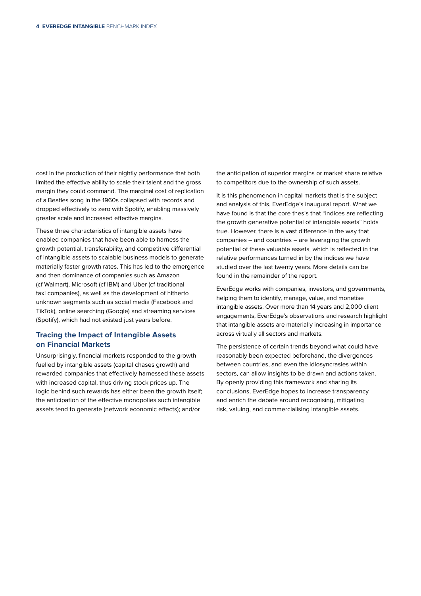cost in the production of their nightly performance that both limited the effective ability to scale their talent and the gross margin they could command. The marginal cost of replication of a Beatles song in the 1960s collapsed with records and dropped effectively to zero with Spotify, enabling massively greater scale and increased effective margins.

These three characteristics of intangible assets have enabled companies that have been able to harness the growth potential, transferability, and competitive differential of intangible assets to scalable business models to generate materially faster growth rates. This has led to the emergence and then dominance of companies such as Amazon (cf Walmart), Microsoft (cf IBM) and Uber (cf traditional taxi companies), as well as the development of hitherto unknown segments such as social media (Facebook and TikTok), online searching (Google) and streaming services (Spotify), which had not existed just years before.

#### **Tracing the Impact of Intangible Assets on Financial Markets**

Unsurprisingly, financial markets responded to the growth fuelled by intangible assets (capital chases growth) and rewarded companies that effectively harnessed these assets with increased capital, thus driving stock prices up. The logic behind such rewards has either been the growth itself; the anticipation of the effective monopolies such intangible assets tend to generate (network economic effects); and/or

the anticipation of superior margins or market share relative to competitors due to the ownership of such assets.

It is this phenomenon in capital markets that is the subject and analysis of this, EverEdge's inaugural report. What we have found is that the core thesis that "indices are reflecting the growth generative potential of intangible assets" holds true. However, there is a vast difference in the way that companies – and countries – are leveraging the growth potential of these valuable assets, which is reflected in the relative performances turned in by the indices we have studied over the last twenty years. More details can be found in the remainder of the report.

EverEdge works with companies, investors, and governments, helping them to identify, manage, value, and monetise intangible assets. Over more than 14 years and 2,000 client engagements, EverEdge's observations and research highlight that intangible assets are materially increasing in importance across virtually all sectors and markets.

The persistence of certain trends beyond what could have reasonably been expected beforehand, the divergences between countries, and even the idiosyncrasies within sectors, can allow insights to be drawn and actions taken. By openly providing this framework and sharing its conclusions, EverEdge hopes to increase transparency and enrich the debate around recognising, mitigating risk, valuing, and commercialising intangible assets.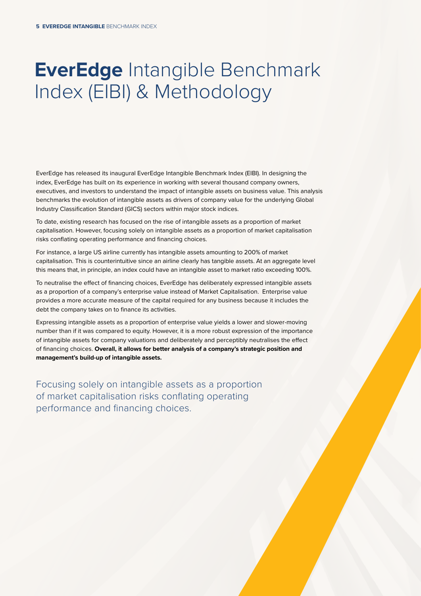## **EverEdge** Intangible Benchmark Index (EIBI) & Methodology

EverEdge has released its inaugural EverEdge Intangible Benchmark Index (EIBI). In designing the index, EverEdge has built on its experience in working with several thousand company owners, executives, and investors to understand the impact of intangible assets on business value. This analysis benchmarks the evolution of intangible assets as drivers of company value for the underlying Global Industry Classification Standard (GICS) sectors within major stock indices.

To date, existing research has focused on the rise of intangible assets as a proportion of market capitalisation. However, focusing solely on intangible assets as a proportion of market capitalisation risks conflating operating performance and financing choices.

For instance, a large US airline currently has intangible assets amounting to 200% of market capitalisation. This is counterintuitive since an airline clearly has tangible assets. At an aggregate level this means that, in principle, an index could have an intangible asset to market ratio exceeding 100%.

To neutralise the effect of financing choices, EverEdge has deliberately expressed intangible assets as a proportion of a company's enterprise value instead of Market Capitalisation. Enterprise value provides a more accurate measure of the capital required for any business because it includes the debt the company takes on to finance its activities.

Expressing intangible assets as a proportion of enterprise value yields a lower and slower-moving number than if it was compared to equity. However, it is a more robust expression of the importance of intangible assets for company valuations and deliberately and perceptibly neutralises the effect of financing choices. **Overall, it allows for better analysis of a company's strategic position and management's build-up of intangible assets.**

Focusing solely on intangible assets as a proportion of market capitalisation risks conflating operating performance and financing choices.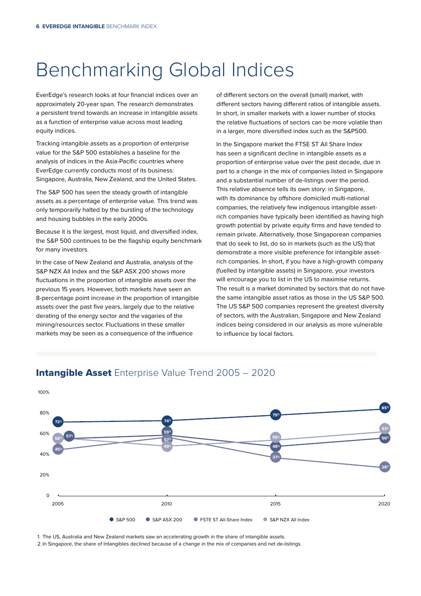## Benchmarking Global Indices

EverEdge's research looks at four financial indices over an approximately 20-year span. The research demonstrates a persistent trend towards an increase in intangible assets as a function of enterprise value across most leading equity indices.

Tracking intangible assets as a proportion of enterprise value for the S&P 500 establishes a baseline for the analysis of indices in the Asia-Pacific countries where EverEdge currently conducts most of its business: Singapore, Australia, New Zealand, and the United States.

The S&P 500 has seen the steady growth of intangible assets as a percentage of enterprise value. This trend was only temporarily halted by the bursting of the technology and housing bubbles in the early 2000s.

Because it is the largest, most liquid, and diversified index, the S&P 500 continues to be the flagship equity benchmark for many investors.

In the case of New Zealand and Australia, analysis of the S&P NZX All Index and the S&P ASX 200 shows more fluctuations in the proportion of intangible assets over the previous 15 years. However, both markets have seen an 8-percentage point increase in the proportion of intangible assets over the past five years, largely due to the relative derating of the energy sector and the vagaries of the mining/resources sector. Fluctuations in these smaller markets may be seen as a consequence of the influence

of different sectors on the overall (small) market, with different sectors having different ratios of intangible assets. In short, in smaller markets with a lower number of stocks the relative fluctuations of sectors can be more volatile than in a larger, more diversified index such as the S&P500.

In the Singapore market the FTSE ST All Share Index has seen a significant decline in intangible assets as a proportion of enterprise value over the past decade, due in part to a change in the mix of companies listed in Singapore and a substantial number of de-listings over the period. This relative absence tells its own story: in Singapore, with its dominance by offshore domiciled multi-national companies, the relatively few indigenous intangible assetrich companies have typically been identified as having high growth potential by private equity firms and have tended to remain private. Alternatively, those Singaporean companies that do seek to list, do so in markets (such as the US) that demonstrate a more visible preference for intangible assetrich companies. In short, if you have a high-growth company (fuelled by intangible assets) in Singapore, your investors will encourage you to list in the US to maximise returns. The result is a market dominated by sectors that do not have the same intangible asset ratios as those in the US S&P 500. The US S&P 500 companies represent the greatest diversity of sectors, with the Australian, Singapore and New Zealand indices being considered in our analysis as more vulnerable to influence by local factors.



### **Intangible Asset** Enterprise Value Trend 2005 - 2020

1. The US, Australia and New Zealand markets saw an accelerating growth in the share of intangible assets.

2. In Singapore, the share of Intangibles declined because of a change in the mix of companies and net de-listings.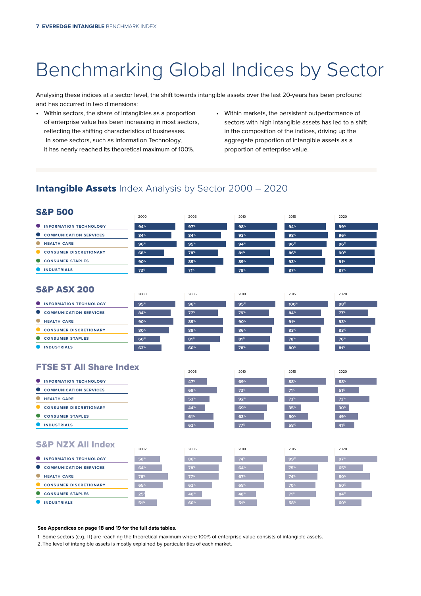## Benchmarking Global Indices by Sector

Analysing these indices at a sector level, the shift towards intangible assets over the last 20-years has been profound and has occurred in two dimensions:

- Within sectors, the share of intangibles as a proportion of enterprise value has been increasing in most sectors, reflecting the shifting characteristics of businesses. In some sectors, such as Information Technology, it has nearly reached its theoretical maximum of 100%.
- Within markets, the persistent outperformance of sectors with high intangible assets has led to a shift in the composition of the indices, driving up the aggregate proportion of intangible assets as a proportion of enterprise value.

### **Intangible Assets** Index Analysis by Sector 2000 - 2020

| <b>S&amp;P 500</b>                         | 2000            | 2005            | 2010            | 2015             | 2020            |
|--------------------------------------------|-----------------|-----------------|-----------------|------------------|-----------------|
| <b>INFORMATION TECHNOLOGY</b>              | 94%             | 97%             | 98%             | 94%              | 99%             |
| <b>COMMUNICATION SERVICES</b>              | 84%             | 84%             | 93%             | 98%              | 96%             |
| $\bullet$<br><b>HEALTH CARE</b>            | 96%             | 95 <sup>%</sup> | 94%             | 96%              | 96%             |
| $\bullet$<br><b>CONSUMER DISCRETIONARY</b> | 68%             | 78%             | 81 <sup>%</sup> | 86%              | 90 <sup>%</sup> |
| <b>CONSUMER STAPLES</b>                    | 90 <sup>%</sup> | 89%             | 89%             | 93 <sup>%</sup>  | 91%             |
| <b>INDUSTRIALS</b><br>o                    | 73%             | $71^{\circ}$    | 78%             | 87%              | 87%             |
| <b>S&amp;P ASX 200</b>                     | 2000            | 2005            | 2010            | 2015             | 2020            |
| INFORMATION TECHNOLOGY                     | 95%             | 96%             | 95%             | 100 <sup>%</sup> | 98%             |
| O<br><b>COMMUNICATION SERVICES</b>         | 84%             | 77%             | 79%             | 84%              | 77%             |
| 0<br><b>HEALTH CARE</b>                    | $90*$           | 89%             | 90 <sup>%</sup> | 91%              | 93%             |
| <b>CONSUMER DISCRETIONARY</b>              | 80%             | 89%             | 86%             | 83%              | 83%             |
| 0<br><b>CONSUMER STAPLES</b>               | 60%             | 81 <sup>%</sup> | $81^{\circ}$    | 78%              | 76%             |
| INDUSTRIALS                                | 63%             | 60%             | 78%             | 80%              | 81 <sup>%</sup> |
|                                            |                 |                 |                 |                  |                 |
| <b>FTSE ST All Share Index</b>             |                 | 2008            | 2010            | 2015             | 2020            |
| <b>INFORMATION TECHNOLOGY</b><br>0         |                 | 47%             | 69%             | 88%              | 88%             |
| 0<br><b>COMMUNICATION SERVICES</b>         |                 | 69%             | 73%             | $71^{\circ}$     | 51%             |
| 0<br><b>HEALTH CARE</b>                    |                 | 53%             | $92%$           | 73%              | 73 <sup>%</sup> |
| $\bullet$<br><b>CONSUMER DISCRETIONARY</b> |                 | 44%             | 69%             | 35%              | 30 <sup>%</sup> |
| $\bullet$<br><b>CONSUMER STAPLES</b>       |                 | 61%             | 63%             | 50%              | 49%             |
| <b>UNDUSTRIALS</b>                         |                 | $63*$           | $77^{\circ}$    | 58%              | 41%             |
| <b>S&amp;P NZX All Index</b>               | 2002            | 2005            | 2010            | 2015             | 2020            |
| <b>INFORMATION TECHNOLOGY</b>              | 58%             | 86%             | 74%             | 99%              | 97%             |
| <b>COMMUNICATION SERVICES</b>              | 64%             | 78%             | 64%             | 75%              | 65%             |
| $\bullet$<br><b>HEALTH CARE</b>            | 76%             | $77^{\circ}$    | 67%             | 74%              | 80%             |
| <b>CONSUMER DISCRETIONARY</b>              | 65%             | 63%             | 68%             | 70%              | 60%             |
| $\bullet$<br><b>CONSUMER STAPLES</b>       | 25 <sup>°</sup> | 40%             | 48%             | $71^{\circ}$     | 84%             |

#### **See Appendices on page 18 and 19 for the full data tables.**

1. Some sectors (e.g. IT) are reaching the theoretical maximum where 100% of enterprise value consists of intangible assets.

2.The level of intangible assets is mostly explained by particularities of each market.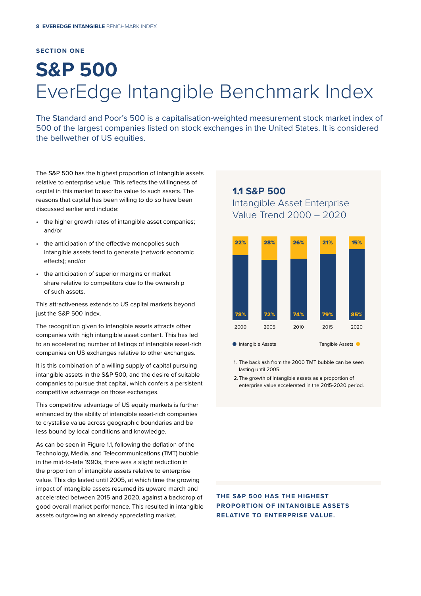#### **SECTION ONE**

# **S&P 500**  EverEdge Intangible Benchmark Index

The Standard and Poor's 500 is a capitalisation-weighted measurement stock market index of 500 of the largest companies listed on stock exchanges in the United States. It is considered the bellwether of US equities.

The S&P 500 has the highest proportion of intangible assets relative to enterprise value. This reflects the willingness of capital in this market to ascribe value to such assets. The reasons that capital has been willing to do so have been discussed earlier and include:

- the higher growth rates of intangible asset companies; and/or
- the anticipation of the effective monopolies such intangible assets tend to generate (network economic effects); and/or
- the anticipation of superior margins or market share relative to competitors due to the ownership of such assets.

This attractiveness extends to US capital markets beyond just the S&P 500 index.

The recognition given to intangible assets attracts other companies with high intangible asset content. This has led to an accelerating number of listings of intangible asset-rich companies on US exchanges relative to other exchanges.

It is this combination of a willing supply of capital pursuing intangible assets in the S&P 500, and the desire of suitable companies to pursue that capital, which confers a persistent competitive advantage on those exchanges.

This competitive advantage of US equity markets is further enhanced by the ability of intangible asset-rich companies to crystalise value across geographic boundaries and be less bound by local conditions and knowledge.

As can be seen in Figure 1.1, following the deflation of the Technology, Media, and Telecommunications (TMT) bubble in the mid-to-late 1990s, there was a slight reduction in the proportion of intangible assets relative to enterprise value. This dip lasted until 2005, at which time the growing impact of intangible assets resumed its upward march and accelerated between 2015 and 2020, against a backdrop of good overall market performance. This resulted in intangible assets outgrowing an already appreciating market.

## 1.1 **S&P 500** Intangible Asset Enterprise





1. The backlash from the 2000 TMT bubble can be seen lasting until 2005.

2. The growth of intangible assets as a proportion of enterprise value accelerated in the 2015-2020 period.

**THE S&P 500 HAS THE HIGHEST PROPORTION OF INTANGIBLE ASSETS RELATIVE TO ENTERPRISE VALUE.**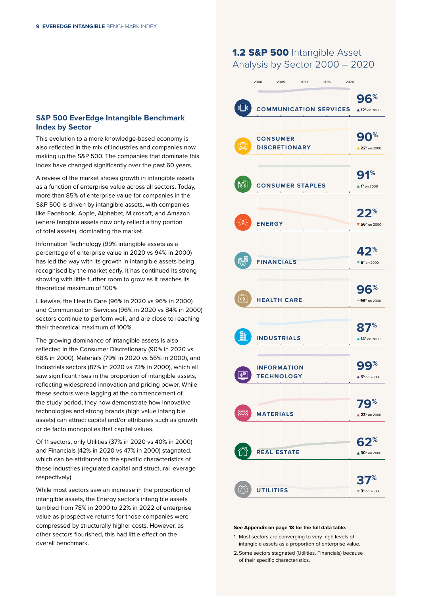#### **S&P 500 EverEdge Intangible Benchmark Index by Sector**

This evolution to a more knowledge-based economy is also reflected in the mix of industries and companies now making up the S&P 500. The companies that dominate this index have changed significantly over the past 60 years.

A review of the market shows growth in intangible assets as a function of enterprise value across all sectors. Today, more than 85% of enterprise value for companies in the S&P 500 is driven by intangible assets, with companies like Facebook, Apple, Alphabet, Microsoft, and Amazon (where tangible assets now only reflect a tiny portion of total assets), dominating the market.

Information Technology (99% intangible assets as a percentage of enterprise value in 2020 vs 94% in 2000) has led the way with its growth in intangible assets being recognised by the market early. It has continued its strong showing with little further room to grow as it reaches its theoretical maximum of 100%.

Likewise, the Health Care (96% in 2020 vs 96% in 2000) and Communication Services (96% in 2020 vs 84% in 2000) sectors continue to perform well, and are close to reaching their theoretical maximum of 100%.

The growing dominance of intangible assets is also reflected in the Consumer Discretionary (90% in 2020 vs 68% in 2000), Materials (79% in 2020 vs 56% in 2000), and Industrials sectors (87% in 2020 vs 73% in 2000), which all saw significant rises in the proportion of intangible assets, reflecting widespread innovation and pricing power. While these sectors were lagging at the commencement of the study period, they now demonstrate how innovative technologies and strong brands (high value intangible assets) can attract capital and/or attributes such as growth or de facto monopolies that capital values.

Of 11 sectors, only Utilities (37% in 2020 vs 40% in 2000) and Financials (42% in 2020 vs 47% in 2000) stagnated, which can be attributed to the specific characteristics of these industries (regulated capital and structural leverage respectively).

While most sectors saw an increase in the proportion of intangible assets, the Energy sector's intangible assets tumbled from 78% in 2000 to 22% in 2022 of enterprise value as prospective returns for those companies were compressed by structurally higher costs. However, as other sectors flourished, this had little effect on the overall benchmark.

### 1.2 S&P 500 Intangible Asset Analysis by Sector 2000 – 2020

|                                                        | 2000          | 2005                                    | 2010 | 2015 | 2020 |                                              |
|--------------------------------------------------------|---------------|-----------------------------------------|------|------|------|----------------------------------------------|
|                                                        |               |                                         |      |      |      | 96%                                          |
| $\begin{pmatrix} \begin{pmatrix} 1 \\ 1 \end{pmatrix}$ |               | <b>COMMUNICATION SERVICES</b>           |      |      |      | $\triangle$ 12 <sup>%</sup> on 2000          |
|                                                        |               |                                         |      |      |      |                                              |
|                                                        |               |                                         |      |      |      | ℅<br>9                                       |
|                                                        |               | <b>CONSUMER</b><br><b>DISCRETIONARY</b> |      |      |      | 22 <sup>%</sup> on 2000                      |
|                                                        |               |                                         |      |      |      |                                              |
|                                                        |               |                                         |      |      |      | %                                            |
| ෦ඁ෧ඁ෦                                                  |               | <b>CONSUMER STAPLES</b>                 |      |      |      | $\triangle$ 1 <sup>%</sup> on 2000           |
|                                                        |               |                                         |      |      |      |                                              |
|                                                        |               |                                         |      |      |      | $\frac{9}{6}$<br>22                          |
|                                                        | <b>ENERGY</b> |                                         |      |      |      | $\blacktriangledown$ 56 <sup>%</sup> on 2000 |
|                                                        |               |                                         |      |      |      |                                              |
|                                                        |               |                                         |      |      |      | 42%                                          |
|                                                        |               | <b>FINANCIALS</b>                       |      |      |      | $\blacktriangledown$ 5 <sup>%</sup> on 2000  |
|                                                        |               |                                         |      |      |      |                                              |
|                                                        |               |                                         |      |      |      | $\frac{1}{2}$<br>9                           |
| ↔                                                      |               | <b>HEALTH CARE</b>                      |      |      |      | $-96$ * on 2000                              |
|                                                        |               |                                         |      |      |      |                                              |
|                                                        |               |                                         |      |      |      | $\frac{9}{6}$<br>8                           |
|                                                        |               | <b>INDUSTRIALS</b>                      |      |      |      | $\triangle$ 14 <sup>%</sup> on 2000          |
|                                                        |               |                                         |      |      |      |                                              |
|                                                        |               | <b>INFORMATION</b>                      |      |      |      | %                                            |
|                                                        |               | <b>TECHNOLOGY</b>                       |      |      |      | $\triangle$ 5 <sup>%</sup> on 2000           |
|                                                        |               |                                         |      |      |      |                                              |
|                                                        |               |                                         |      |      |      | %                                            |
|                                                        |               | <b>MATERIALS</b>                        |      |      |      | $\triangle 23$ <sup>%</sup> on 2000          |
|                                                        |               |                                         |      |      |      |                                              |
|                                                        |               |                                         |      |      |      | $62^{\circ}$                                 |
|                                                        |               | <b>REAL ESTATE</b>                      |      |      |      | $\triangle 30$ <sup>%</sup> on 2000          |
|                                                        |               |                                         |      |      |      |                                              |
|                                                        |               | <b>UTILITIES</b>                        |      |      |      | %                                            |
|                                                        |               |                                         |      |      |      | $\nabla$ 3 <sup>%</sup> on 2000              |

#### **See Appendix on page 18 for the full data table.**

- 1. Most sectors are converging to very high levels of intangible assets as a proportion of enterprise value.
- 2. Some sectors stagnated (Utilities, Financials) because of their specific characteristics.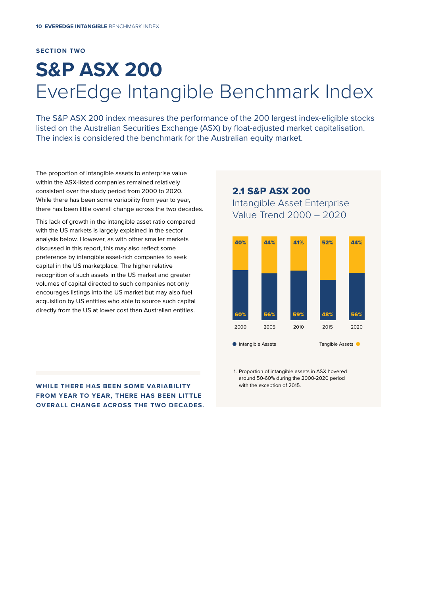#### **SECTION TWO**

## **S&P ASX 200**  EverEdge Intangible Benchmark Index

The S&P ASX 200 index measures the performance of the 200 largest index-eligible stocks listed on the Australian Securities Exchange (ASX) by float-adjusted market capitalisation. The index is considered the benchmark for the Australian equity market.

The proportion of intangible assets to enterprise value within the ASX-listed companies remained relatively consistent over the study period from 2000 to 2020. While there has been some variability from year to year, there has been little overall change across the two decades.

This lack of growth in the intangible asset ratio compared with the US markets is largely explained in the sector analysis below. However, as with other smaller markets discussed in this report, this may also reflect some preference by intangible asset-rich companies to seek capital in the US marketplace. The higher relative recognition of such assets in the US market and greater volumes of capital directed to such companies not only encourages listings into the US market but may also fuel acquisition by US entities who able to source such capital directly from the US at lower cost than Australian entities.

2.1 S&P ASX 200 Intangible Asset Enterprise Value Trend 2000 – 2020



**WHILE THERE HAS BEEN SOME VARIABILITY FROM YEAR TO YEAR, THERE HAS BEEN LITTLE OVERALL CHANGE ACROSS THE TWO DECADES.** 1. Proportion of intangible assets in ASX hovered around 50-60% during the 2000-2020 period with the exception of 2015.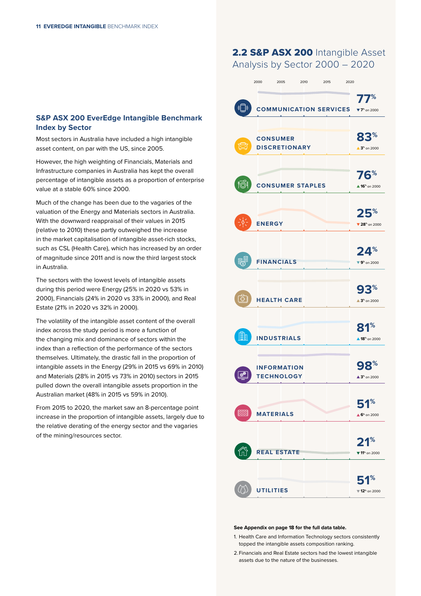### **S&P ASX 200 EverEdge Intangible Benchmark Index by Sector**

Most sectors in Australia have included a high intangible asset content, on par with the US, since 2005.

However, the high weighting of Financials, Materials and Infrastructure companies in Australia has kept the overall percentage of intangible assets as a proportion of enterprise value at a stable 60% since 2000.

Much of the change has been due to the vagaries of the valuation of the Energy and Materials sectors in Australia. With the downward reappraisal of their values in 2015 (relative to 2010) these partly outweighed the increase in the market capitalisation of intangible asset-rich stocks, such as CSL (Health Care), which has increased by an order of magnitude since 2011 and is now the third largest stock in Australia.

The sectors with the lowest levels of intangible assets during this period were Energy (25% in 2020 vs 53% in 2000), Financials (24% in 2020 vs 33% in 2000), and Real Estate (21% in 2020 vs 32% in 2000).

The volatility of the intangible asset content of the overall index across the study period is more a function of the changing mix and dominance of sectors within the index than a reflection of the performance of the sectors themselves. Ultimately, the drastic fall in the proportion of intangible assets in the Energy (29% in 2015 vs 69% in 2010) and Materials (28% in 2015 vs 73% in 2010) sectors in 2015 pulled down the overall intangible assets proportion in the Australian market (48% in 2015 vs 59% in 2010).

From 2015 to 2020, the market saw an 8-percentage point increase in the proportion of intangible assets, largely due to the relative derating of the energy sector and the vagaries of the mining/resources sector.

### 2.2 S&P ASX 200 Intangible Asset Analysis by Sector 2000 – 2020

|          | 2000             | 2005                          | 2010 | 2015 | 2020 |                                              |
|----------|------------------|-------------------------------|------|------|------|----------------------------------------------|
|          |                  |                               |      |      |      | 77%                                          |
| $(\Box)$ |                  | <b>COMMUNICATION SERVICES</b> |      |      |      | $T^*$ on 2000                                |
|          |                  |                               |      |      |      |                                              |
|          |                  |                               |      |      |      | %                                            |
|          | <b>CONSUMER</b>  | <b>DISCRETIONARY</b>          |      |      |      | $\triangle 3^*$ on 2000                      |
|          |                  |                               |      |      |      |                                              |
|          |                  |                               |      |      |      |                                              |
| ෦ඁ෧ඁඁ෦   |                  | <b>CONSUMER STAPLES</b>       |      |      |      | 76%                                          |
|          |                  |                               |      |      |      | $\triangle$ 16 <sup>%</sup> on 2000          |
|          |                  |                               |      |      |      |                                              |
|          | <b>ENERGY</b>    |                               |      |      |      | , %                                          |
|          |                  |                               |      |      |      | $\blacktriangledown$ 28 <sup>%</sup> on 2000 |
|          |                  |                               |      |      |      |                                              |
|          |                  |                               |      |      |      | $24^{\circ}$                                 |
|          |                  | <b>FINANCIALS</b>             |      |      |      | $\Psi$ 9 <sup>%</sup> on 2000                |
|          |                  |                               |      |      |      |                                              |
|          |                  |                               |      |      |      | ?∞<br>9:                                     |
| ሩን       |                  | <b>HEALTH CARE</b>            |      |      |      | $\triangle 3^*$ on 2000                      |
|          |                  |                               |      |      |      |                                              |
|          |                  |                               |      |      |      | %<br>81                                      |
|          |                  | <b>INDUSTRIALS</b>            |      |      |      | ▲ 18 <sup>%</sup> on 2000                    |
|          |                  |                               |      |      |      |                                              |
|          |                  | <b>INFORMATION</b>            |      |      |      |                                              |
|          |                  | <b>TECHNOLOGY</b>             |      |      |      | $\triangle 3^*$ on 2000                      |
|          |                  |                               |      |      |      |                                              |
|          |                  |                               |      |      |      | 51%                                          |
| ⋙        | <b>MATERIALS</b> |                               |      |      |      | $\triangle$ 6 <sup>%</sup> on 2000           |
|          |                  |                               |      |      |      |                                              |
|          |                  |                               |      |      |      | $21^{\circ}$                                 |
|          |                  | <b>REAL ESTATE</b>            |      |      |      | ▼ 11 <sup>%</sup> on 2000                    |
|          |                  |                               |      |      |      |                                              |
|          |                  |                               |      |      |      | %<br>51                                      |
|          | <b>UTILITIES</b> |                               |      |      |      | $\Psi$ 12 <sup>%</sup> on 2000               |

#### **See Appendix on page 18 for the full data table.**

- 1. Health Care and Information Technology sectors consistently topped the intangible assets composition ranking.
- 2. Financials and Real Estate sectors had the lowest intangible assets due to the nature of the businesses.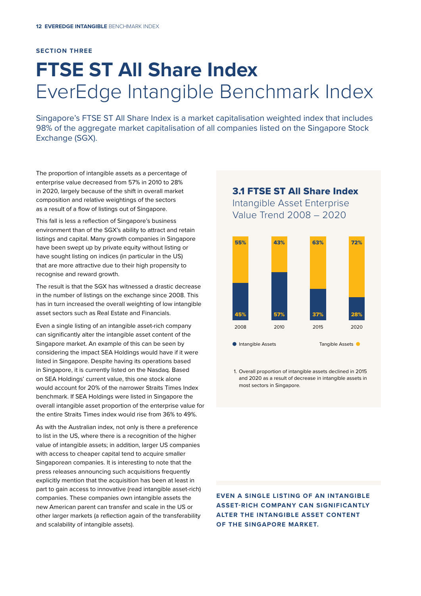#### **SECTION THREE**

# **FTSE ST All Share Index**  EverEdge Intangible Benchmark Index

Singapore's FTSE ST All Share Index is a market capitalisation weighted index that includes 98% of the aggregate market capitalisation of all companies listed on the Singapore Stock Exchange (SGX).

The proportion of intangible assets as a percentage of enterprise value decreased from 57% in 2010 to 28% in 2020, largely because of the shift in overall market composition and relative weightings of the sectors as a result of a flow of listings out of Singapore.

This fall is less a reflection of Singapore's business environment than of the SGX's ability to attract and retain listings and capital. Many growth companies in Singapore have been swept up by private equity without listing or have sought listing on indices (in particular in the US) that are more attractive due to their high propensity to recognise and reward growth.

The result is that the SGX has witnessed a drastic decrease in the number of listings on the exchange since 2008. This has in turn increased the overall weighting of low intangible asset sectors such as Real Estate and Financials.

Even a single listing of an intangible asset-rich company can significantly alter the intangible asset content of the Singapore market. An example of this can be seen by considering the impact SEA Holdings would have if it were listed in Singapore. Despite having its operations based in Singapore, it is currently listed on the Nasdaq. Based on SEA Holdings' current value, this one stock alone would account for 20% of the narrower Straits Times Index benchmark. If SEA Holdings were listed in Singapore the overall intangible asset proportion of the enterprise value for the entire Straits Times index would rise from 36% to 49%.

As with the Australian index, not only is there a preference to list in the US, where there is a recognition of the higher value of intangible assets; in addition, larger US companies with access to cheaper capital tend to acquire smaller Singaporean companies. It is interesting to note that the press releases announcing such acquisitions frequently explicitly mention that the acquisition has been at least in part to gain access to innovative (read intangible asset-rich) companies. These companies own intangible assets the new American parent can transfer and scale in the US or other larger markets (a reflection again of the transferability and scalability of intangible assets).

### 3.1 FTSE ST All Share Index Intangible Asset Enterprise Value Trend 2008 – 2020



1. Overall proportion of intangible assets declined in 2015 and 2020 as a result of decrease in intangible assets in most sectors in Singapore.

**EVEN A SINGLE LISTING OF AN INTANGIBLE ASSET-RICH COMPANY CAN SIGNIFICANTLY ALTER THE INTANGIBLE ASSET CONTENT OF THE SINGAPORE MARKET.**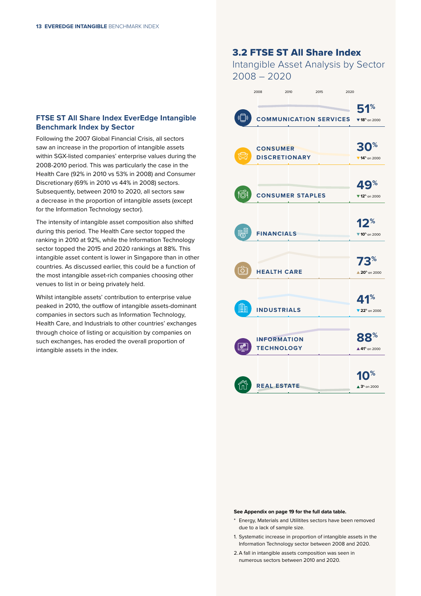### **FTSE ST All Share Index EverEdge Intangible Benchmark Index by Sector**

Following the 2007 Global Financial Crisis, all sectors saw an increase in the proportion of intangible assets within SGX-listed companies' enterprise values during the 2008-2010 period. This was particularly the case in the Health Care (92% in 2010 vs 53% in 2008) and Consumer Discretionary (69% in 2010 vs 44% in 2008) sectors. Subsequently, between 2010 to 2020, all sectors saw a decrease in the proportion of intangible assets (except for the Information Technology sector).

The intensity of intangible asset composition also shifted during this period. The Health Care sector topped the ranking in 2010 at 92%, while the Information Technology sector topped the 2015 and 2020 rankings at 88%. This intangible asset content is lower in Singapore than in other countries. As discussed earlier, this could be a function of the most intangible asset-rich companies choosing other venues to list in or being privately held.

Whilst intangible assets' contribution to enterprise value peaked in 2010, the outflow of intangible assets-dominant companies in sectors such as Information Technology, Health Care, and Industrials to other countries' exchanges through choice of listing or acquisition by companies on such exchanges, has eroded the overall proportion of intangible assets in the index.

### 3.2 FTSE ST All Share Index

Intangible Asset Analysis by Sector 2008 – 2020

|                       | 2008                 | 2010                          | 2015 | 2020                                |
|-----------------------|----------------------|-------------------------------|------|-------------------------------------|
|                       |                      |                               |      | 51%                                 |
| $\sqrt{(} \mathbf{)}$ |                      | <b>COMMUNICATION SERVICES</b> |      | ▼ 18 <sup>%</sup> on 2000           |
|                       |                      |                               |      |                                     |
|                       | <b>CONSUMER</b>      |                               |      | ่า%<br>30                           |
|                       | <b>DISCRETIONARY</b> |                               |      | $\Psi$ 14 <sup>%</sup> on 2000      |
|                       |                      |                               |      |                                     |
|                       |                      |                               |      | $\%$<br>4                           |
| ෦ඁ෧ඁඁ෦                |                      | <b>CONSUMER STAPLES</b>       |      | $\Psi$ 12 <sup>%</sup> on 2000      |
|                       |                      |                               |      |                                     |
|                       |                      |                               |      | 12 <sup>%</sup>                     |
|                       | <b>FINANCIALS</b>    |                               |      | $\times$ 10 <sup>%</sup> on 2000    |
|                       |                      |                               |      |                                     |
|                       |                      |                               |      | 73%                                 |
| ♧                     | <b>HEALTH CARE</b>   |                               |      | $\triangle 20$ <sup>%</sup> on 2000 |
|                       |                      |                               |      |                                     |
|                       |                      |                               |      | 41%                                 |
| E                     | <b>INDUSTRIALS</b>   |                               |      | 72 <sup>%</sup> on 2000             |
|                       |                      |                               |      |                                     |
|                       | <b>INFORMATION</b>   |                               |      | $\mathbf{8}^{\%}$                   |
| <b>BAR</b>            | <b>TECHNOLOGY</b>    |                               |      | ▲ 41 <sup>%</sup> on 2000           |
|                       |                      |                               |      |                                     |
|                       |                      |                               |      |                                     |
|                       | <b>REAL ESTATE</b>   |                               |      | $\triangle 3^*$ on 2000             |

#### **See Appendix on page 19 for the full data table.**

- Energy, Materials and Utilitites sectors have been removed due to a lack of sample size.
- 1. Systematic increase in proportion of intangible assets in the Information Technology sector between 2008 and 2020.
- 2. A fall in intangible assets composition was seen in numerous sectors between 2010 and 2020.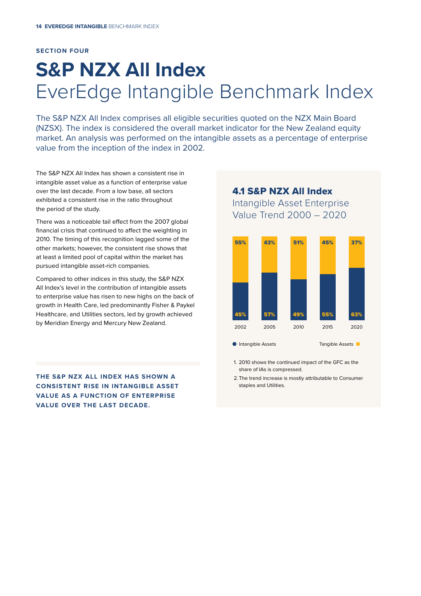#### **SECTION FOUR**

# **S&P NZX All Index** EverEdge Intangible Benchmark Index

The S&P NZX All Index comprises all eligible securities quoted on the NZX Main Board (NZSX). The index is considered the overall market indicator for the New Zealand equity market. An analysis was performed on the intangible assets as a percentage of enterprise value from the inception of the index in 2002.

The S&P NZX All Index has shown a consistent rise in intangible asset value as a function of enterprise value over the last decade. From a low base, all sectors exhibited a consistent rise in the ratio throughout the period of the study.

There was a noticeable tail effect from the 2007 global financial crisis that continued to affect the weighting in 2010. The timing of this recognition lagged some of the other markets; however, the consistent rise shows that at least a limited pool of capital within the market has pursued intangible asset-rich companies.

Compared to other indices in this study, the S&P NZX All Index's level in the contribution of intangible assets to enterprise value has risen to new highs on the back of growth in Health Care, led predominantly Fisher & Paykel Healthcare, and Utilities sectors, led by growth achieved by Meridian Energy and Mercury New Zealand.

**THE S&P NZX ALL INDEX HAS SHOWN A CONSISTENT RISE IN INTANGIBLE ASSET VALUE AS A FUNCTION OF ENTERPRISE VALUE OVER THE LAST DECADE.**

4.1 S&P NZX All Index Intangible Asset Enterprise Value Trend 2000 – 2020



- 1. 2010 shows the continued impact of the GFC as the share of IAs is compressed.
- 2. The trend increase is mostly attributable to Consumer staples and Utilities.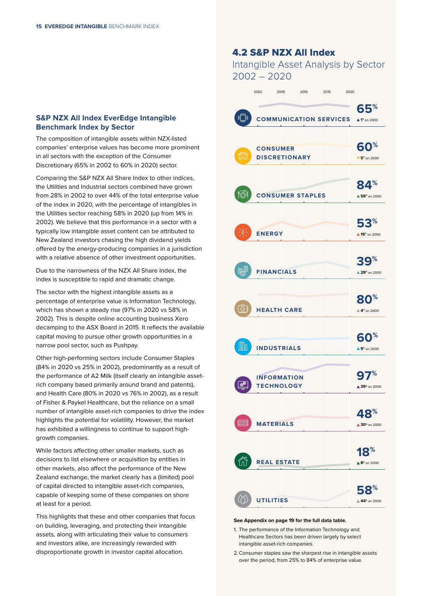#### **S&P NZX All Index EverEdge Intangible Benchmark Index by Sector**

The composition of intangible assets within NZX-listed companies' enterprise values has become more prominent in all sectors with the exception of the Consumer Discretionary (65% in 2002 to 60% in 2020) sector.

Comparing the S&P NZX All Share Index to other indices, the Utilities and Industrial sectors combined have grown from 28% in 2002 to over 44% of the total enterprise value of the index in 2020, with the percentage of intangibles in the Utilities sector reaching 58% in 2020 (up from 14% in 2002). We believe that this performance in a sector with a typically low intangible asset content can be attributed to New Zealand investors chasing the high dividend yields offered by the energy-producing companies in a jurisdiction with a relative absence of other investment opportunities.

Due to the narrowness of the NZX All Share Index, the index is susceptible to rapid and dramatic change.

The sector with the highest intangible assets as a percentage of enterprise value is Information Technology, which has shown a steady rise (97% in 2020 vs 58% in 2002). This is despite online accounting business Xero decamping to the ASX Board in 2015. It reflects the available capital moving to pursue other growth opportunities in a narrow pool sector, such as Pushpay.

Other high-performing sectors include Consumer Staples (84% in 2020 vs 25% in 2002), predominantly as a result of the performance of A2 Milk (itself clearly an intangible assetrich company based primarily around brand and patents), and Health Care (80% in 2020 vs 76% in 2002), as a result of Fisher & Paykel Healthcare, but the reliance on a small number of intangible asset-rich companies to drive the index highlights the potential for volatility. However, the market has exhibited a willingness to continue to support highgrowth companies.

While factors affecting other smaller markets, such as decisions to list elsewhere or acquisition by entities in other markets, also affect the performance of the New Zealand exchange, the market clearly has a (limited) pool of capital directed to intangible asset-rich companies, capable of keeping some of these companies on shore at least for a period.

This highlights that these and other companies that focus on building, leveraging, and protecting their intangible assets, along with articulating their value to consumers and investors alike, are increasingly rewarded with disproportionate growth in investor capital allocation.

### 4.2 S&P NZX All Index

Intangible Asset Analysis by Sector 2002 – 2020

| 2002<br>2005<br>2010<br>2015<br>2020          |                                                                   |
|-----------------------------------------------|-------------------------------------------------------------------|
| $(\Box)$<br><b>COMMUNICATION SERVICES</b>     | 65%<br>$\triangle$ 1 <sup>%</sup> on 2000                         |
| <b>CONSUMER</b><br><b>DISCRETIONARY</b>       | 60%<br>$\blacktriangledown$ 5 <sup>%</sup> on 2000                |
| <u> "මී1</u><br><b>CONSUMER STAPLES</b>       | $\mathbf{84}^{\mathrm{*}}$<br>▲ 59 <sup>%</sup> on 2000           |
| <b>ENERGY</b>                                 | $\mathbf{53}^{\mathrm{\mathbf{\%}}}$<br>▲ 19 <sup>%</sup> on 2000 |
| <b>FINANCIALS</b>                             | $\frac{9}{6}$<br>BC<br>▲ 29 <sup>%</sup> on 2000                  |
| ↔<br><b>HEALTH CARE</b>                       | 80 <sup>%</sup><br>$\triangle$ 4 <sup>%</sup> on 2000             |
| ≣目<br><b>INDUSTRIALS</b>                      | ℅<br>6(<br>$\triangle$ 9 <sup>%</sup> on 2000                     |
| <b>INFORMATION</b><br>భో<br><b>TECHNOLOGY</b> | 97%<br>▲ 39 <sup>%</sup> on 2000                                  |
| <b>MATERIALS</b>                              | $\mathbf{R}^{\%}$<br>4<br>$\triangle 30^{\circ}$ on 2000          |
| <b>REAL ESTATE</b>                            | 18 <sup>%</sup><br>▲ 8 <sup>%</sup> on 2000                       |
| <b>UTILITIES</b>                              | $\mathbf{58}^{\mathrm{\mathbf{\%}}}$<br>▲ 44 <sup>%</sup> on 2000 |

#### **See Appendix on page 19 for the full data table.**

- 1. The performance of the Information Technology and Healthcare Sectors has been driven largely by select intangible asset-rich companies.
- 2. Consumer staples saw the sharpest rise in intangible assets over the period, from 25% to 84% of enterprise value.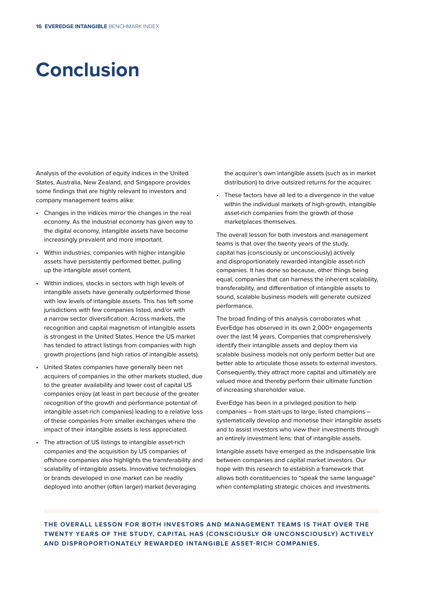## **Conclusion**

Analysis of the evolution of equity indices in the United States, Australia, New Zealand, and Singapore provides some findings that are highly relevant to investors and company management teams alike:

- Changes in the indices mirror the changes in the real economy. As the industrial economy has given way to the digital economy, intangible assets have become increasingly prevalent and more important.
- Within industries, companies with higher intangible assets have persistently performed better, pulling up the intangible asset content.
- Within indices, stocks in sectors with high levels of intangible assets have generally outperformed those with low levels of intangible assets. This has left some jurisdictions with few companies listed, and/or with a narrow sector diversification. Across markets, the recognition and capital magnetism of intangible assets is strongest in the United States. Hence the US market has tended to attract listings from companies with high growth projections (and high ratios of intangible assets).
- United States companies have generally been net acquirers of companies in the other markets studied, due to the greater availability and lower cost of capital US companies enjoy (at least in part because of the greater recognition of the growth and performance potential of intangible asset-rich companies) leading to a relative loss of these companies from smaller exchanges where the impact of their intangible assets is less appreciated.
- The attraction of US listings to intangible asset-rich companies and the acquisition by US companies of offshore companies also highlights the transferability and scalability of intangible assets. Innovative technologies or brands developed in one market can be readily deployed into another (often larger) market (leveraging

the acquirer's own intangible assets (such as in market distribution) to drive outsized returns for the acquirer.

• These factors have all led to a divergence in the value within the individual markets of high-growth, intangible asset-rich companies from the growth of those marketplaces themselves.

The overall lesson for both investors and management teams is that over the twenty years of the study, capital has (consciously or unconsciously) actively and disproportionately rewarded intangible asset-rich companies. It has done so because, other things being equal, companies that can harness the inherent scalability, transferability, and differentiation of intangible assets to sound, scalable business models will generate outsized performance.

The broad finding of this analysis corroborates what EverEdge has observed in its own 2,000+ engagements over the last 14 years. Companies that comprehensively identify their intangible assets and deploy them via scalable business models not only perform better but are better able to articulate those assets to external investors. Consequently, they attract more capital and ultimately are valued more and thereby perform their ultimate function of increasing shareholder value.

EverEdge has been in a privileged position to help companies – from start-ups to large, listed champions – systematically develop and monetise their intangible assets and to assist investors who view their investments through an entirely investment lens: that of intangible assets.

Intangible assets have emerged as the indispensable link between companies and capital market investors. Our hope with this research to establish a framework that allows both constituencies to "speak the same language" when contemplating strategic choices and investments.

**THE OVERALL LESSON FOR BOTH INVESTORS AND MANAGEMENT TEAMS IS THAT OVER THE TWENTY YEARS OF THE STUDY, CAPITAL HAS (CONSCIOUSLY OR UNCONSCIOUSLY) ACTIVELY AND DISPROPORTIONATELY REWARDED INTANGIBLE ASSET-RICH COMPANIES.**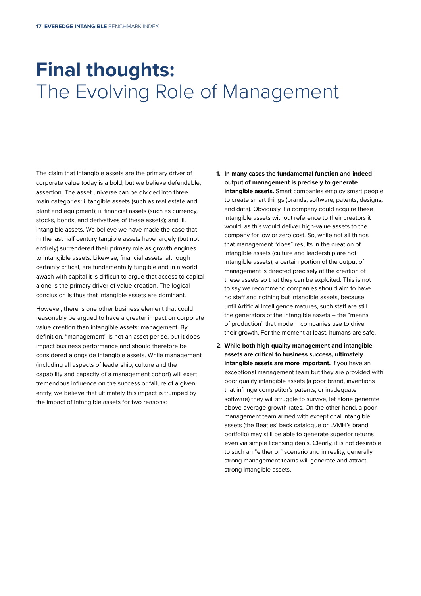## **Final thoughts:**  The Evolving Role of Management

The claim that intangible assets are the primary driver of corporate value today is a bold, but we believe defendable, assertion. The asset universe can be divided into three main categories: i. tangible assets (such as real estate and plant and equipment); ii. financial assets (such as currency, stocks, bonds, and derivatives of these assets); and iii. intangible assets. We believe we have made the case that in the last half century tangible assets have largely (but not entirely) surrendered their primary role as growth engines to intangible assets. Likewise, financial assets, although certainly critical, are fundamentally fungible and in a world awash with capital it is difficult to argue that access to capital alone is the primary driver of value creation. The logical conclusion is thus that intangible assets are dominant.

However, there is one other business element that could reasonably be argued to have a greater impact on corporate value creation than intangible assets: management. By definition, "management" is not an asset per se, but it does impact business performance and should therefore be considered alongside intangible assets. While management (including all aspects of leadership, culture and the capability and capacity of a management cohort) will exert tremendous influence on the success or failure of a given entity, we believe that ultimately this impact is trumped by the impact of intangible assets for two reasons:

- **1. In many cases the fundamental function and indeed output of management is precisely to generate intangible assets.** Smart companies employ smart people to create smart things (brands, software, patents, designs, and data). Obviously if a company could acquire these intangible assets without reference to their creators it would, as this would deliver high-value assets to the company for low or zero cost. So, while not all things that management "does" results in the creation of intangible assets (culture and leadership are not intangible assets), a certain portion of the output of management is directed precisely at the creation of these assets so that they can be exploited. This is not to say we recommend companies should aim to have no staff and nothing but intangible assets, because until Artificial Intelligence matures, such staff are still the generators of the intangible assets – the "means of production" that modern companies use to drive their growth. For the moment at least, humans are safe.
- **2. While both high-quality management and intangible assets are critical to business success, ultimately intangible assets are more important.** If you have an exceptional management team but they are provided with poor quality intangible assets (a poor brand, inventions that infringe competitor's patents, or inadequate software) they will struggle to survive, let alone generate above-average growth rates. On the other hand, a poor management team armed with exceptional intangible assets (the Beatles' back catalogue or LVMH's brand portfolio) may still be able to generate superior returns even via simple licensing deals. Clearly, it is not desirable to such an "either or" scenario and in reality, generally strong management teams will generate and attract strong intangible assets.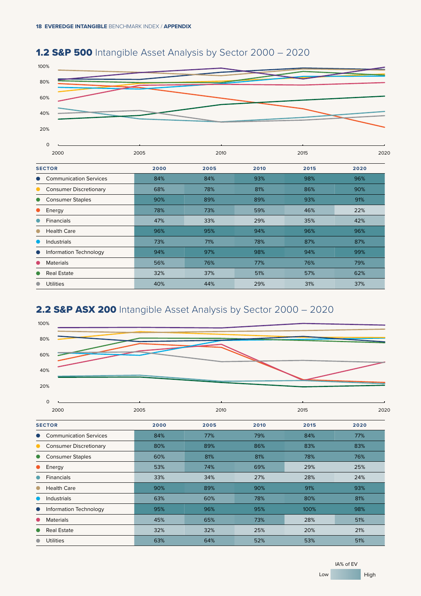●  $\bullet$  $\bullet$ 





### 2.2 S&P ASX 200 Intangible Asset Analysis by Sector 2000 - 2020



Materials 56% 76% 77% 76% 79% Real Estate 32% 37% 51% 57% 62% Utilities 40% 44% 29% 31% 37%

| $\circ$                       |      |      |      |      |      |  |
|-------------------------------|------|------|------|------|------|--|
| 2000                          | 2005 | 2010 |      | 2015 | 2020 |  |
| <b>SECTOR</b>                 | 2000 | 2005 | 2010 | 2015 | 2020 |  |
| <b>Communication Services</b> | 84%  | 77%  | 79%  | 84%  | 77%  |  |
| <b>Consumer Discretionary</b> | 80%  | 89%  | 86%  | 83%  | 83%  |  |
| <b>Consumer Staples</b>       | 60%  | 81%  | 81%  | 78%  | 76%  |  |
| Energy                        | 53%  | 74%  | 69%  | 29%  | 25%  |  |
| <b>Financials</b>             | 33%  | 34%  | 27%  | 28%  | 24%  |  |
| <b>Health Care</b>            | 90%  | 89%  | 90%  | 91%  | 93%  |  |
| Industrials                   | 63%  | 60%  | 78%  | 80%  | 81%  |  |
| Information Technology        | 95%  | 96%  | 95%  | 100% | 98%  |  |
| <b>Materials</b>              | 45%  | 65%  | 73%  | 28%  | 51%  |  |
| <b>Real Estate</b>            | 32%  | 32%  | 25%  | 20%  | 21%  |  |
| <b>Utilities</b>              | 63%  | 64%  | 52%  | 53%  | 51%  |  |
|                               |      |      |      |      |      |  |

IA% of EV Low High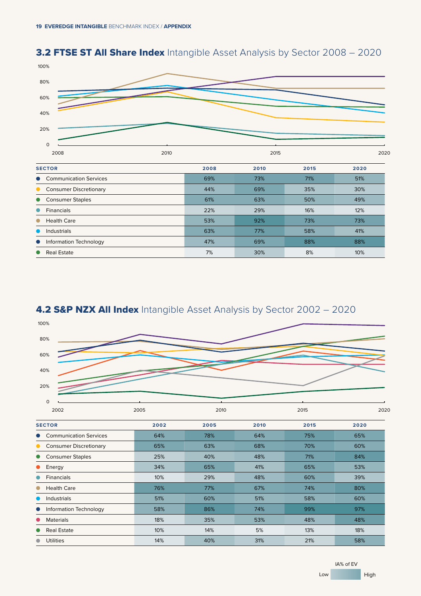### **3.2 FTSE ST All Share Index** Intangible Asset Analysis by Sector 2008 - 2020





Real Estate  $\qquad \qquad \qquad 10\%$  30% 30% 8% 30% 10%



IA% of EV Low High